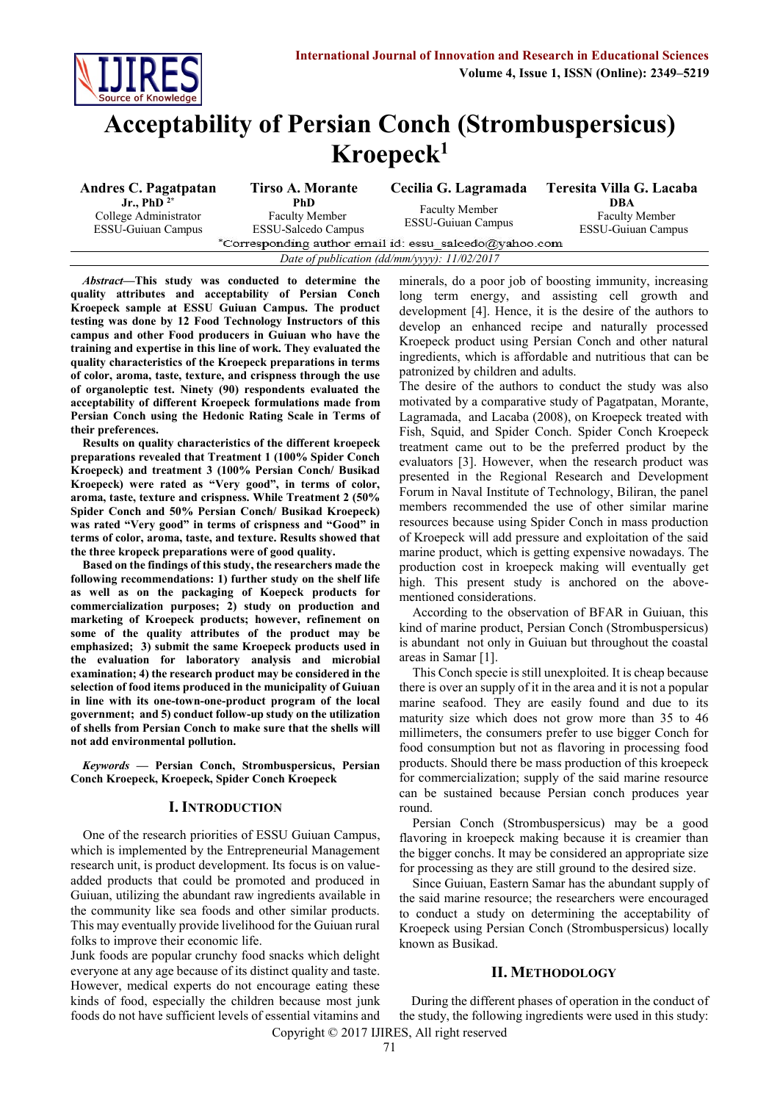

# **Acceptability of Persian Conch (Strombuspersicus) Kroepeck<sup>1</sup>**

| Andres C. Pagatpatan                                                   | <b>Tirso A. Morante</b>                                     | Cecilia G. Lagramada                               | Teresita Villa G. Lacaba                                  |  |  |  |
|------------------------------------------------------------------------|-------------------------------------------------------------|----------------------------------------------------|-----------------------------------------------------------|--|--|--|
| Jr., PhD $^{2*}$<br>College Administrator<br><b>ESSU-Guiuan Campus</b> | PhD.<br><b>Faculty Member</b><br><b>ESSU-Salcedo Campus</b> | <b>Faculty Member</b><br><b>ESSU-Guiuan Campus</b> | DBA<br><b>Faculty Member</b><br><b>ESSU-Guiuan Campus</b> |  |  |  |
| *Corresponding author email id: essu salcedo@yahoo.com                 |                                                             |                                                    |                                                           |  |  |  |
| Date of publication (dd/mm/yyyy): 11/02/2017                           |                                                             |                                                    |                                                           |  |  |  |

*Abstract***—This study was conducted to determine the quality attributes and acceptability of Persian Conch Kroepeck sample at ESSU Guiuan Campus. The product testing was done by 12 Food Technology Instructors of this campus and other Food producers in Guiuan who have the training and expertise in this line of work. They evaluated the quality characteristics of the Kroepeck preparations in terms of color, aroma, taste, texture, and crispness through the use of organoleptic test. Ninety (90) respondents evaluated the acceptability of different Kroepeck formulations made from Persian Conch using the Hedonic Rating Scale in Terms of their preferences.**

**Results on quality characteristics of the different kroepeck preparations revealed that Treatment 1 (100% Spider Conch Kroepeck) and treatment 3 (100% Persian Conch/ Busikad Kroepeck) were rated as "Very good", in terms of color, aroma, taste, texture and crispness. While Treatment 2 (50% Spider Conch and 50% Persian Conch/ Busikad Kroepeck) was rated "Very good" in terms of crispness and "Good" in terms of color, aroma, taste, and texture. Results showed that the three kropeck preparations were of good quality.**

**Based on the findings of this study, the researchers made the following recommendations: 1) further study on the shelf life as well as on the packaging of Koepeck products for commercialization purposes; 2) study on production and marketing of Kroepeck products; however, refinement on some of the quality attributes of the product may be emphasized; 3) submit the same Kroepeck products used in the evaluation for laboratory analysis and microbial examination; 4) the research product may be considered in the selection of food items produced in the municipality of Guiuan in line with its one-town-one-product program of the local government; and 5) conduct follow-up study on the utilization of shells from Persian Conch to make sure that the shells will not add environmental pollution.**

*Keywords* **— Persian Conch, Strombuspersicus, Persian Conch Kroepeck, Kroepeck, Spider Conch Kroepeck**

# **I. INTRODUCTION**

One of the research priorities of ESSU Guiuan Campus, which is implemented by the Entrepreneurial Management research unit, is product development. Its focus is on valueadded products that could be promoted and produced in Guiuan, utilizing the abundant raw ingredients available in the community like sea foods and other similar products. This may eventually provide livelihood for the Guiuan rural folks to improve their economic life.

Junk foods are popular crunchy food snacks which delight everyone at any age because of its distinct quality and taste. However, medical experts do not encourage eating these kinds of food, especially the children because most junk foods do not have sufficient levels of essential vitamins and minerals, do a poor job of boosting immunity, increasing long term energy, and assisting cell growth and development [4]. Hence, it is the desire of the authors to develop an enhanced recipe and naturally processed Kroepeck product using Persian Conch and other natural ingredients, which is affordable and nutritious that can be patronized by children and adults.

The desire of the authors to conduct the study was also motivated by a comparative study of Pagatpatan, Morante, Lagramada, and Lacaba (2008), on Kroepeck treated with Fish, Squid, and Spider Conch. Spider Conch Kroepeck treatment came out to be the preferred product by the evaluators [3]. However, when the research product was presented in the Regional Research and Development Forum in Naval Institute of Technology, Biliran, the panel members recommended the use of other similar marine resources because using Spider Conch in mass production of Kroepeck will add pressure and exploitation of the said marine product, which is getting expensive nowadays. The production cost in kroepeck making will eventually get high. This present study is anchored on the abovementioned considerations.

According to the observation of BFAR in Guiuan, this kind of marine product, Persian Conch (Strombuspersicus) is abundant not only in Guiuan but throughout the coastal areas in Samar [1].

This Conch specie is still unexploited. It is cheap because there is over an supply of it in the area and it is not a popular marine seafood. They are easily found and due to its maturity size which does not grow more than 35 to 46 millimeters, the consumers prefer to use bigger Conch for food consumption but not as flavoring in processing food products. Should there be mass production of this kroepeck for commercialization; supply of the said marine resource can be sustained because Persian conch produces year round.

Persian Conch (Strombuspersicus) may be a good flavoring in kroepeck making because it is creamier than the bigger conchs. It may be considered an appropriate size for processing as they are still ground to the desired size.

Since Guiuan, Eastern Samar has the abundant supply of the said marine resource; the researchers were encouraged to conduct a study on determining the acceptability of Kroepeck using Persian Conch (Strombuspersicus) locally known as Busikad.

#### **II. METHODOLOGY**

Copyright © 2017 IJIRES, All right reserved During the different phases of operation in the conduct of the study, the following ingredients were used in this study: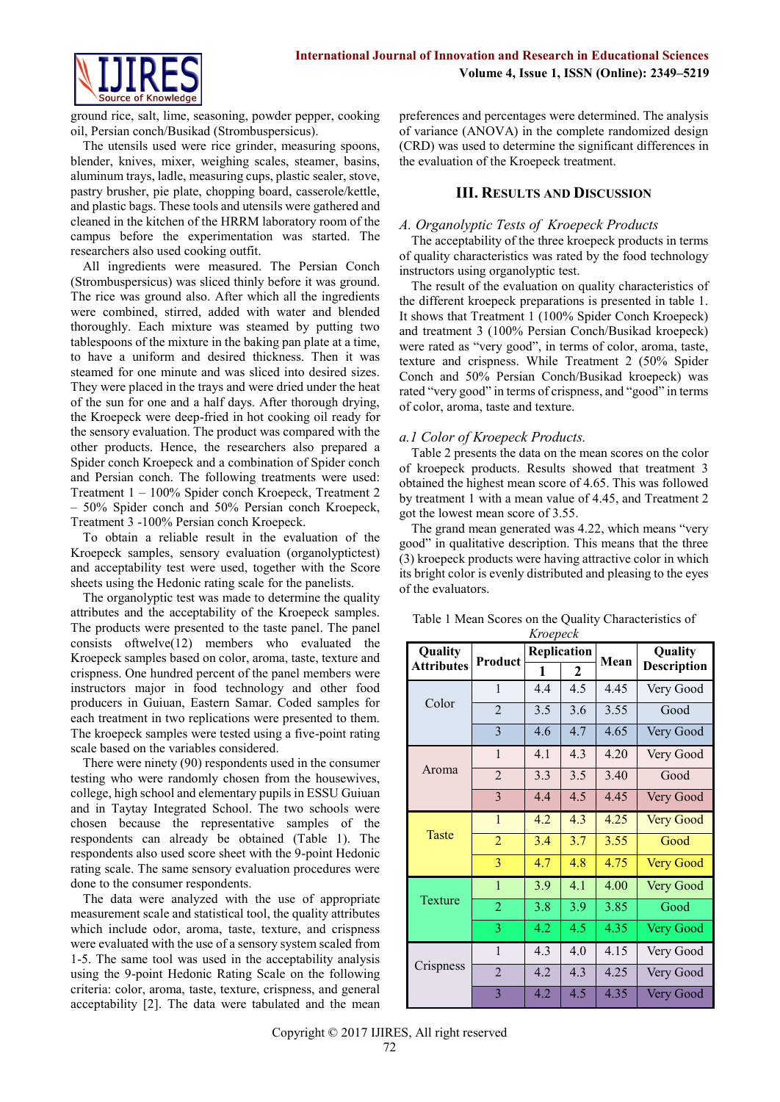

ground rice, salt, lime, seasoning, powder pepper, cooking oil, Persian conch/Busikad (Strombuspersicus).

The utensils used were rice grinder, measuring spoons, blender, knives, mixer, weighing scales, steamer, basins, aluminum trays, ladle, measuring cups, plastic sealer, stove, pastry brusher, pie plate, chopping board, casserole/kettle, and plastic bags. These tools and utensils were gathered and cleaned in the kitchen of the HRRM laboratory room of the campus before the experimentation was started. The researchers also used cooking outfit.

All ingredients were measured. The Persian Conch (Strombuspersicus) was sliced thinly before it was ground. The rice was ground also. After which all the ingredients were combined, stirred, added with water and blended thoroughly. Each mixture was steamed by putting two tablespoons of the mixture in the baking pan plate at a time, to have a uniform and desired thickness. Then it was steamed for one minute and was sliced into desired sizes. They were placed in the trays and were dried under the heat of the sun for one and a half days. After thorough drying, the Kroepeck were deep-fried in hot cooking oil ready for the sensory evaluation. The product was compared with the other products. Hence, the researchers also prepared a Spider conch Kroepeck and a combination of Spider conch and Persian conch. The following treatments were used: Treatment 1 – 100% Spider conch Kroepeck, Treatment 2 – 50% Spider conch and 50% Persian conch Kroepeck, Treatment 3 -100% Persian conch Kroepeck.

To obtain a reliable result in the evaluation of the Kroepeck samples, sensory evaluation (organolyptictest) and acceptability test were used, together with the Score sheets using the Hedonic rating scale for the panelists.

The organolyptic test was made to determine the quality attributes and the acceptability of the Kroepeck samples. The products were presented to the taste panel. The panel consists oftwelve(12) members who evaluated the Kroepeck samples based on color, aroma, taste, texture and crispness. One hundred percent of the panel members were instructors major in food technology and other food producers in Guiuan, Eastern Samar. Coded samples for each treatment in two replications were presented to them. The kroepeck samples were tested using a five-point rating scale based on the variables considered.

There were ninety (90) respondents used in the consumer testing who were randomly chosen from the housewives, college, high school and elementary pupils in ESSU Guiuan and in Taytay Integrated School. The two schools were chosen because the representative samples of the respondents can already be obtained (Table 1). The respondents also used score sheet with the 9-point Hedonic rating scale. The same sensory evaluation procedures were done to the consumer respondents.

The data were analyzed with the use of appropriate measurement scale and statistical tool, the quality attributes which include odor, aroma, taste, texture, and crispness were evaluated with the use of a sensory system scaled from 1-5. The same tool was used in the acceptability analysis using the 9-point Hedonic Rating Scale on the following criteria: color, aroma, taste, texture, crispness, and general acceptability [2]. The data were tabulated and the mean

preferences and percentages were determined. The analysis of variance (ANOVA) in the complete randomized design (CRD) was used to determine the significant differences in the evaluation of the Kroepeck treatment.

# **III. RESULTS AND DISCUSSION**

# *A. Organolyptic Tests of Kroepeck Products*

The acceptability of the three kroepeck products in terms of quality characteristics was rated by the food technology instructors using organolyptic test.

The result of the evaluation on quality characteristics of the different kroepeck preparations is presented in table 1. It shows that Treatment 1 (100% Spider Conch Kroepeck) and treatment 3 (100% Persian Conch/Busikad kroepeck) were rated as "very good", in terms of color, aroma, taste, texture and crispness. While Treatment 2 (50% Spider Conch and 50% Persian Conch/Busikad kroepeck) was rated "very good" in terms of crispness, and "good" in terms of color, aroma, taste and texture.

# *a.1 Color of Kroepeck Products.*

Table 2 presents the data on the mean scores on the color of kroepeck products. Results showed that treatment 3 obtained the highest mean score of 4.65. This was followed by treatment 1 with a mean value of 4.45, and Treatment 2 got the lowest mean score of 3.55.

The grand mean generated was 4.22, which means "very good" in qualitative description. This means that the three (3) kroepeck products were having attractive color in which its bright color is evenly distributed and pleasing to the eyes of the evaluators.

| Quality           |                         | Replication |             | Mean | Quality            |
|-------------------|-------------------------|-------------|-------------|------|--------------------|
| <b>Attributes</b> | Product                 | 1           | $\mathbf 2$ |      | <b>Description</b> |
|                   | 1                       | 4.4         | 4.5         | 4.45 | Very Good          |
| Color             | $\overline{2}$          | 3.5         | 3.6         | 3.55 | Good               |
|                   | $\overline{\mathbf{3}}$ | 4.6         | 4.7         | 4.65 | Very Good          |
|                   | $\mathbf{1}$            | 4.1         | 4.3         | 4.20 | Very Good          |
| Aroma             | $\overline{2}$          | 3.3         | 3.5         | 3.40 | Good               |
|                   | 3                       | 4.4         | 4.5         | 4.45 | Very Good          |
|                   | $\mathbf{1}$            | 4.2         | 4.3         | 4.25 | <b>Very Good</b>   |
| <b>Taste</b>      | $\overline{2}$          | 3.4         | 3.7         | 3.55 | Good               |
|                   | 3                       | 4.7         | 4.8         | 4.75 | <b>Very Good</b>   |
|                   | $\mathbf{1}$            | 3.9         | 4.1         | 4.00 | Very Good          |
| Texture           | $\overline{2}$          | 3.8         | 3.9         | 3.85 | Good               |
|                   | 3                       | 4.2         | 4.5         | 4.35 | Very Good          |
|                   | $\mathbf{1}$            | 4.3         | 4.0         | 4.15 | Very Good          |
| Crispness         | $\overline{2}$          | 4.2         | 4.3         | 4.25 | Very Good          |
|                   | $\overline{3}$          | 4.2         | 4.5         | 4.35 | Very Good          |

Table 1 Mean Scores on the Quality Characteristics of *Kroepeck*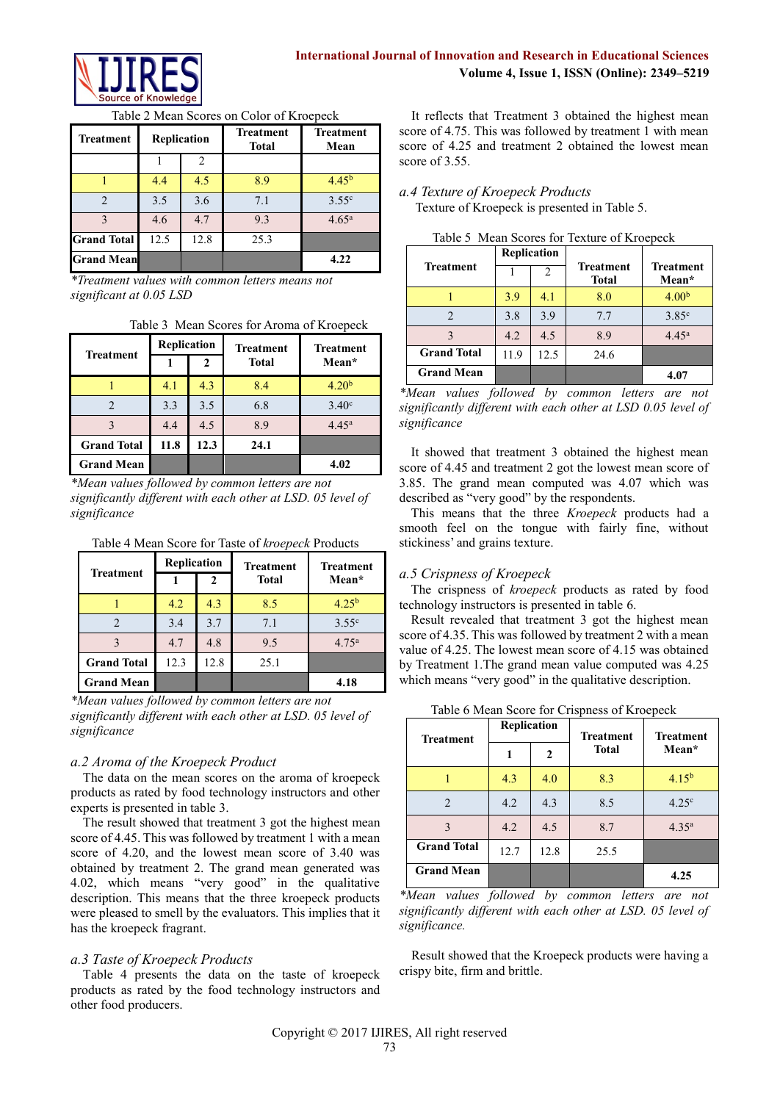

# **International Journal of Innovation and Research in Educational Sciences Volume 4, Issue 1, ISSN (Online): 2349–5219**

Table 2 Mean Scores on Color of Kroepeck

| <b>Treatment</b>   | Replication |                | <b>Treatment</b><br><b>Total</b> |                   | <b>Treatment</b><br>Mean |
|--------------------|-------------|----------------|----------------------------------|-------------------|--------------------------|
|                    |             | $\mathfrak{D}$ |                                  |                   |                          |
|                    | 4.4         | 4.5            | 8.9                              | 4.45 <sup>b</sup> |                          |
|                    | 3.5         | 3.6            | 7.1                              | $3.55^{\circ}$    |                          |
| 3                  | 4.6         | 4.7            | 9.3                              | 4.65 <sup>a</sup> |                          |
| <b>Grand Total</b> | 12.5        | 12.8           | 25.3                             |                   |                          |
| <b>Grand Mean</b>  |             |                |                                  | 4.22              |                          |

*\*Treatment values with common letters means not significant at 0.05 LSD*

|  |  |  |  |  | Table 3 Mean Scores for Aroma of Kroepeck |  |
|--|--|--|--|--|-------------------------------------------|--|
|--|--|--|--|--|-------------------------------------------|--|

|                    | Replication |              | <b>Treatment</b> | <b>Treatment</b>  |  |
|--------------------|-------------|--------------|------------------|-------------------|--|
| <b>Treatment</b>   |             | $\mathbf{2}$ | <b>Total</b>     | Mean*             |  |
|                    | 4.1         | 4.3          | 8.4              | 4.20 <sup>b</sup> |  |
|                    | 3.3         | 3.5          | 6.8              | 3.40 <sup>c</sup> |  |
|                    | 4.4         | 4.5          | 8.9              | $4.45^{\rm a}$    |  |
| <b>Grand Total</b> | 11.8        | 12.3         | 24.1             |                   |  |
| <b>Grand Mean</b>  |             |              |                  | 4.02              |  |

*\*Mean values followed by common letters are not significantly different with each other at LSD. 05 level of significance*

Table 4 Mean Score for Taste of *kroepeck* Products

|                    | <b>Replication</b> |      | <b>Treatment</b> | <b>Treatment</b>  |  |
|--------------------|--------------------|------|------------------|-------------------|--|
| <b>Treatment</b>   |                    |      | <b>Total</b>     | Mean*             |  |
|                    | 4.2                | 4.3  | 8.5              | $4.25^{b}$        |  |
|                    | 3.4                | 3.7  | 7.1              | $3.55^{\circ}$    |  |
|                    | 4.7                | 4.8  | 9.5              | 4.75 <sup>a</sup> |  |
| <b>Grand Total</b> | 12.3               | 12.8 | 25.1             |                   |  |
| <b>Grand Mean</b>  |                    |      |                  | 4.18              |  |

*\*Mean values followed by common letters are not significantly different with each other at LSD. 05 level of significance*

# *a.2 Aroma of the Kroepeck Product*

The data on the mean scores on the aroma of kroepeck products as rated by food technology instructors and other experts is presented in table 3.

The result showed that treatment 3 got the highest mean score of 4.45. This was followed by treatment 1 with a mean score of 4.20, and the lowest mean score of 3.40 was obtained by treatment 2. The grand mean generated was 4.02, which means "very good" in the qualitative description. This means that the three kroepeck products were pleased to smell by the evaluators. This implies that it has the kroepeck fragrant.

# *a.3 Taste of Kroepeck Products*

Table 4 presents the data on the taste of kroepeck products as rated by the food technology instructors and other food producers.

It reflects that Treatment 3 obtained the highest mean score of 4.75. This was followed by treatment 1 with mean score of 4.25 and treatment 2 obtained the lowest mean score of 3.55

# *a.4 Texture of Kroepeck Products*

Texture of Kroepeck is presented in Table 5.

|                    | Replication |                |                                  |                           |
|--------------------|-------------|----------------|----------------------------------|---------------------------|
| <b>Treatment</b>   |             | $\mathfrak{D}$ | <b>Treatment</b><br><b>Total</b> | <b>Treatment</b><br>Mean* |
|                    | 3.9         | 4.1            | 8.0                              | 4.00 <sup>b</sup>         |
|                    | 3.8         | 3.9            | 7.7                              | 3.85 <sup>c</sup>         |
|                    | 4.2         | 4.5            | 8.9                              | 4.45 <sup>a</sup>         |
| <b>Grand Total</b> | 11.9        | 12.5           | 24.6                             |                           |
| <b>Grand Mean</b>  |             |                |                                  | 4.07                      |

| Table 5 Mean Scores for Texture of Kroepeck |  |  |
|---------------------------------------------|--|--|
|---------------------------------------------|--|--|

It showed that treatment 3 obtained the highest mean score of 4.45 and treatment 2 got the lowest mean score of 3.85. The grand mean computed was 4.07 which was described as "very good" by the respondents.

This means that the three *Kroepeck* products had a smooth feel on the tongue with fairly fine, without stickiness' and grains texture.

# *a.5 Crispness of Kroepeck*

The crispness of *kroepeck* products as rated by food technology instructors is presented in table 6.

Result revealed that treatment 3 got the highest mean score of 4.35. This was followed by treatment 2 with a mean value of 4.25. The lowest mean score of 4.15 was obtained by Treatment 1.The grand mean value computed was 4.25 which means "very good" in the qualitative description.

| <b>Treatment</b>   | Replication |              | <b>Treatment</b> | <b>Treatment</b>  |  |
|--------------------|-------------|--------------|------------------|-------------------|--|
|                    |             | $\mathbf{2}$ | <b>Total</b>     | Mean*             |  |
|                    | 4.3         | 4.0          | 8.3              | 4.15 <sup>b</sup> |  |
| $\overline{2}$     | 4.2         | 4.3          | 8.5              | 4.25 <sup>c</sup> |  |
| 3                  | 4.2         | 4.5          | 8.7              | 4.35 <sup>a</sup> |  |
| <b>Grand Total</b> | 12.7        | 12.8         | 25.5             |                   |  |
| <b>Grand Mean</b>  |             |              |                  | 4.25              |  |

Table 6 Mean Score for Crispness of Kroepeck

*\*Mean values followed by common letters are not significantly different with each other at LSD. 05 level of significance.*

Result showed that the Kroepeck products were having a crispy bite, firm and brittle.

*<sup>\*</sup>Mean values followed by common letters are not significantly different with each other at LSD 0.05 level of significance*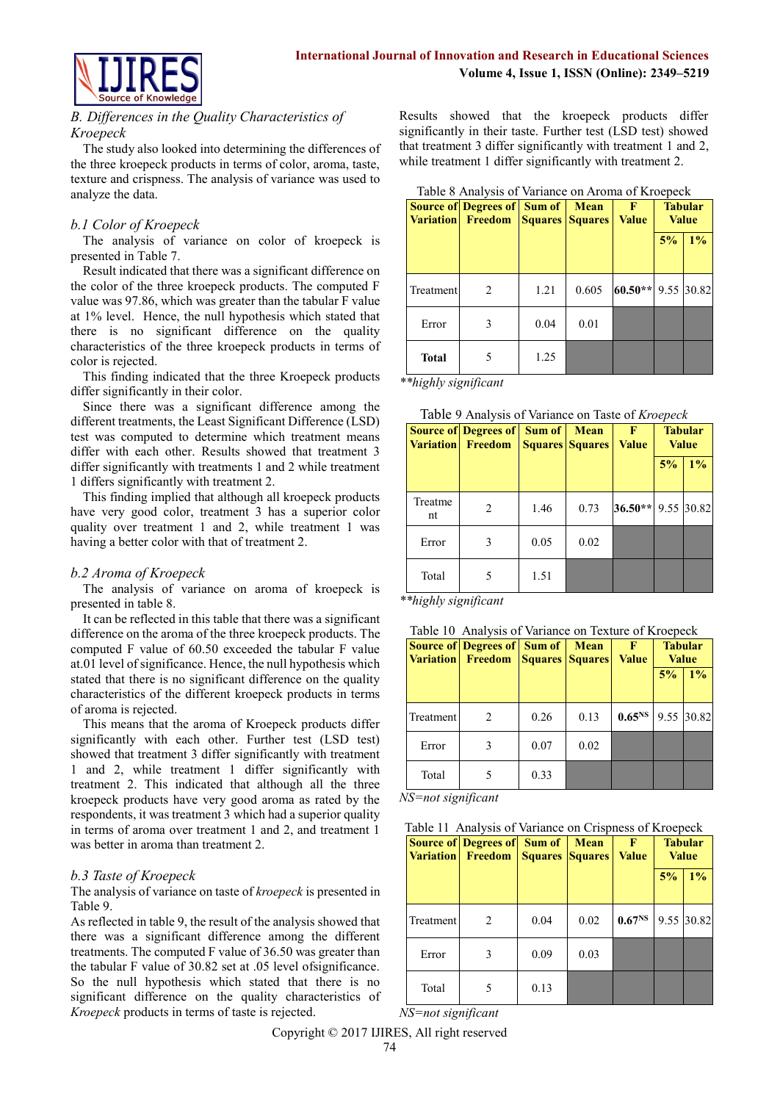

# *B. Differences in the Quality Characteristics of Kroepeck*

The study also looked into determining the differences of the three kroepeck products in terms of color, aroma, taste, texture and crispness. The analysis of variance was used to analyze the data.

# *b.1 Color of Kroepeck*

The analysis of variance on color of kroepeck is presented in Table 7.

Result indicated that there was a significant difference on the color of the three kroepeck products. The computed F value was 97.86, which was greater than the tabular F value at 1% level. Hence, the null hypothesis which stated that there is no significant difference on the quality characteristics of the three kroepeck products in terms of color is rejected.

This finding indicated that the three Kroepeck products differ significantly in their color.

Since there was a significant difference among the different treatments, the Least Significant Difference (LSD) test was computed to determine which treatment means differ with each other. Results showed that treatment 3 differ significantly with treatments 1 and 2 while treatment 1 differs significantly with treatment 2.

This finding implied that although all kroepeck products have very good color, treatment 3 has a superior color quality over treatment 1 and 2, while treatment 1 was having a better color with that of treatment 2.

# *b.2 Aroma of Kroepeck*

The analysis of variance on aroma of kroepeck is presented in table 8.

It can be reflected in this table that there was a significant difference on the aroma of the three kroepeck products. The computed F value of 60.50 exceeded the tabular F value at.01 level of significance. Hence, the null hypothesis which stated that there is no significant difference on the quality characteristics of the different kroepeck products in terms of aroma is rejected.

This means that the aroma of Kroepeck products differ significantly with each other. Further test (LSD test) showed that treatment 3 differ significantly with treatment 1 and 2, while treatment 1 differ significantly with treatment 2. This indicated that although all the three kroepeck products have very good aroma as rated by the respondents, it was treatment 3 which had a superior quality in terms of aroma over treatment 1 and 2, and treatment 1 was better in aroma than treatment 2.

# *b.3 Taste of Kroepeck*

The analysis of variance on taste of *kroepeck* is presented in Table 9.

As reflected in table 9, the result of the analysis showed that there was a significant difference among the different treatments. The computed F value of 36.50 was greater than the tabular F value of 30.82 set at .05 level ofsignificance. So the null hypothesis which stated that there is no significant difference on the quality characteristics of *Kroepeck* products in terms of taste is rejected.

Results showed that the kroepeck products differ significantly in their taste. Further test (LSD test) showed that treatment 3 differ significantly with treatment 1 and 2, while treatment 1 differ significantly with treatment 2.

Table 8 Analysis of Variance on Aroma of Kroepeck

|              | <b>Source of Degrees of Sum of</b><br><b>Variation</b> Freedom |      | <b>Mean</b><br><b>Squares Squares</b> | F<br><b>Value</b> |    | <b>Tabular</b><br><b>Value</b> |
|--------------|----------------------------------------------------------------|------|---------------------------------------|-------------------|----|--------------------------------|
|              |                                                                |      |                                       |                   | 5% | $1\%$                          |
| Treatment    | 2                                                              | 1.21 | 0.605                                 | $60.50**$         |    | 9.55 30.82                     |
| Error        | 3                                                              | 0.04 | 0.01                                  |                   |    |                                |
| <b>Total</b> | 5                                                              | 1.25 |                                       |                   |    |                                |

*\*\*highly significant*

|  | Table 9 Analysis of Variance on Taste of Kroepeck |
|--|---------------------------------------------------|
|  |                                                   |

| <b>Variation</b> | <b>Source of Degrees of Sum of</b><br>Freedom |      | Mean<br><b>Squares Squares</b> | F<br><b>Value</b> |    | <b>Tabular</b><br><b>Value</b> |
|------------------|-----------------------------------------------|------|--------------------------------|-------------------|----|--------------------------------|
|                  |                                               |      |                                |                   | 5% | 1%                             |
| Treatme<br>nt    | 2                                             | 1.46 | 0.73                           | $36.50**$         |    | 9.55 30.82                     |
| Error            | 3                                             | 0.05 | 0.02                           |                   |    |                                |
| Total            | 5                                             | 1.51 |                                |                   |    |                                |

*\*\*highly significant* 

|  |  | Table 10 Analysis of Variance on Texture of Kroepeck |
|--|--|------------------------------------------------------|
|  |  |                                                      |

|           | <b>Source of Degrees of Sum of</b><br><b>Variation</b> Freedom |      | <b>Mean</b><br><b>Squares Squares</b> | F<br><b>Value</b>  |    | <b>Tabular</b><br><b>Value</b> |
|-----------|----------------------------------------------------------------|------|---------------------------------------|--------------------|----|--------------------------------|
|           |                                                                |      |                                       |                    | 5% | $1\%$                          |
| Treatment | $\mathfrak{D}_{\mathfrak{p}}$                                  | 0.26 | 0.13                                  | 0.65 <sup>NS</sup> |    | 9.55 30.82                     |
| Error     | 3                                                              | 0.07 | 0.02                                  |                    |    |                                |
| Total     |                                                                | 0.33 |                                       |                    |    |                                |

*NS=not significant*

|           | <b>Source of Degrees of</b><br><b>Variation</b> Freedom | Sum of<br><b>Squares Squares</b> | <b>Mean</b> | F<br><b>Value</b>  |    | <b>Tabular</b><br><b>Value</b> |
|-----------|---------------------------------------------------------|----------------------------------|-------------|--------------------|----|--------------------------------|
|           |                                                         |                                  |             |                    | 5% | 1%                             |
| Treatment | 2                                                       | 0.04                             | 0.02        | 0.67 <sup>NS</sup> |    | 9.55 30.82                     |
| Error     | 3                                                       | 0.09                             | 0.03        |                    |    |                                |
| Total     |                                                         | 0.13                             |             |                    |    |                                |

*NS=not significant*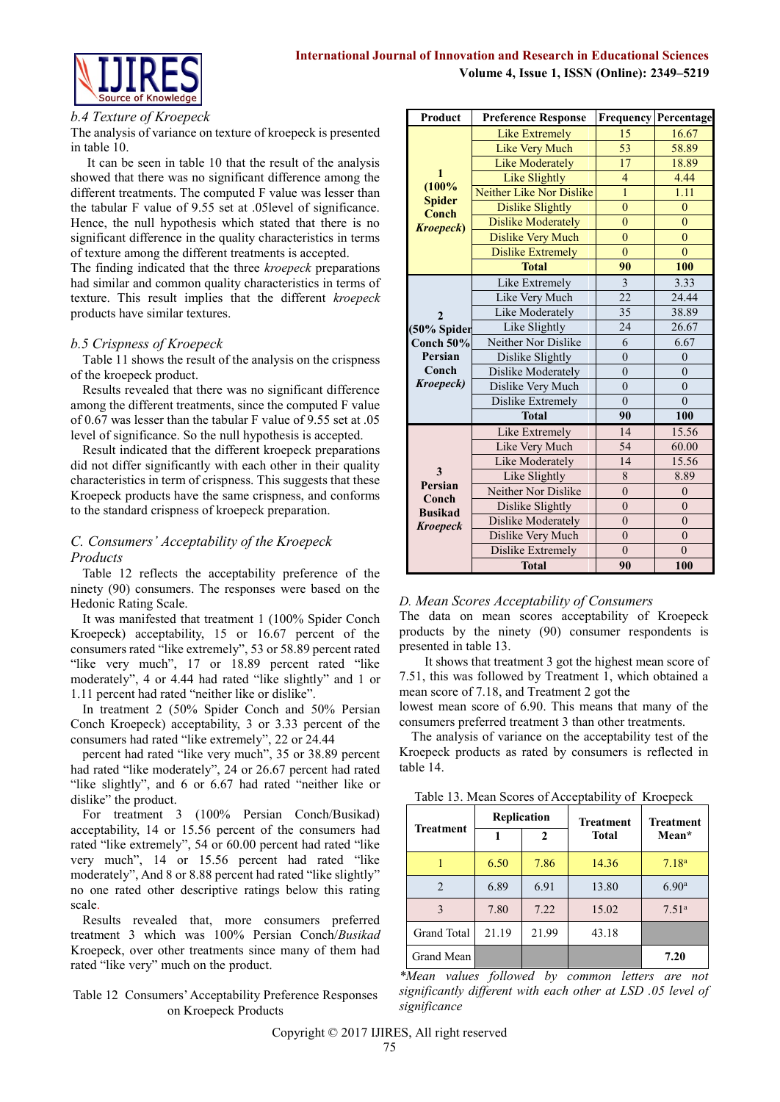# **International Journal of Innovation and Research in Educational Sciences Volume 4, Issue 1, ISSN (Online): 2349–5219**



#### *b.4 Texture of Kroepeck*

The analysis of variance on texture of kroepeck is presented in table 10.

 It can be seen in table 10 that the result of the analysis showed that there was no significant difference among the different treatments. The computed F value was lesser than the tabular F value of 9.55 set at .05level of significance. Hence, the null hypothesis which stated that there is no significant difference in the quality characteristics in terms of texture among the different treatments is accepted.

The finding indicated that the three *kroepeck* preparations had similar and common quality characteristics in terms of texture. This result implies that the different *kroepeck* products have similar textures.

#### *b.5 Crispness of Kroepeck*

Table 11 shows the result of the analysis on the crispness of the kroepeck product.

Results revealed that there was no significant difference among the different treatments, since the computed F value of 0.67 was lesser than the tabular F value of 9.55 set at .05 level of significance. So the null hypothesis is accepted.

Result indicated that the different kroepeck preparations did not differ significantly with each other in their quality characteristics in term of crispness. This suggests that these Kroepeck products have the same crispness, and conforms to the standard crispness of kroepeck preparation.

# *C. Consumers' Acceptability of the Kroepeck Products*

Table 12 reflects the acceptability preference of the ninety (90) consumers. The responses were based on the Hedonic Rating Scale.

It was manifested that treatment 1 (100% Spider Conch Kroepeck) acceptability, 15 or 16.67 percent of the consumers rated "like extremely", 53 or 58.89 percent rated "like very much", 17 or 18.89 percent rated "like moderately", 4 or 4.44 had rated "like slightly" and 1 or 1.11 percent had rated "neither like or dislike".

In treatment 2 (50% Spider Conch and 50% Persian Conch Kroepeck) acceptability, 3 or 3.33 percent of the consumers had rated "like extremely", 22 or 24.44

percent had rated "like very much", 35 or 38.89 percent had rated "like moderately", 24 or 26.67 percent had rated "like slightly", and 6 or 6.67 had rated "neither like or dislike" the product.

For treatment 3 (100% Persian Conch/Busikad) acceptability, 14 or 15.56 percent of the consumers had rated "like extremely", 54 or 60.00 percent had rated "like very much", 14 or 15.56 percent had rated "like moderately", And 8 or 8.88 percent had rated "like slightly" no one rated other descriptive ratings below this rating scale.

Results revealed that, more consumers preferred treatment 3 which was 100% Persian Conch/*Busikad* Kroepeck, over other treatments since many of them had rated "like very" much on the product.

# Table 12 Consumers' Acceptability Preference Responses on Kroepeck Products

| Product                | <b>Preference Response</b> |                | <b>Frequency Percentage</b> |
|------------------------|----------------------------|----------------|-----------------------------|
|                        | <b>Like Extremely</b>      | 15             | 16.67                       |
|                        | <b>Like Very Much</b>      | 53             | 58.89                       |
|                        | <b>Like Moderately</b>     | 17             | 18.89                       |
| 1                      | Like Slightly              | $\overline{4}$ | 4.44                        |
| (100%                  | Neither Like Nor Dislike   | 1              | 1.11                        |
| <b>Spider</b><br>Conch | <b>Dislike Slightly</b>    | $\overline{0}$ | $\overline{0}$              |
| <b>Kroepeck</b> )      | <b>Dislike Moderately</b>  | $\overline{0}$ | $\overline{0}$              |
|                        | <b>Dislike Very Much</b>   | $\overline{0}$ | $\overline{0}$              |
|                        | <b>Dislike Extremely</b>   | $\overline{0}$ | $\theta$                    |
|                        | <b>Total</b>               | 90             | 100                         |
|                        | Like Extremely             | $\overline{3}$ | 3.33                        |
|                        | Like Very Much             | 22             | 24.44                       |
| 2                      | Like Moderately            | 35             | 38.89                       |
| (50% Spider            | Like Slightly              | 24             | 26.67                       |
| Conch $50%$            | Neither Nor Dislike        | 6              | 6.67                        |
| Persian                | Dislike Slightly           | $\overline{0}$ | $\overline{0}$              |
| Conch                  | Dislike Moderately         | $\theta$       | $\overline{0}$              |
| Kroepeck)              | Dislike Very Much          | $\theta$       | $\theta$                    |
|                        | Dislike Extremely          | $\theta$       | $\theta$                    |
|                        | <b>Total</b>               | 90             | 100                         |
|                        | Like Extremely             | 14             | 15.56                       |
|                        | Like Very Much             | 54             | 60.00                       |
|                        | Like Moderately            | 14             | 15.56                       |
| 3<br>Persian           | Like Slightly              | 8              | 8.89                        |
| Conch                  | Neither Nor Dislike        | $\overline{0}$ | $\theta$                    |
| <b>Busikad</b>         | Dislike Slightly           | $\overline{0}$ | $\overline{0}$              |
| <b>Kroepeck</b>        | Dislike Moderately         | $\theta$       | $\overline{0}$              |
|                        | Dislike Very Much          | $\theta$       | $\overline{0}$              |
|                        | Dislike Extremely          | $\theta$       | $\theta$                    |
|                        | <b>Total</b>               | 90             | 100                         |

# *D. Mean Scores Acceptability of Consumers*

The data on mean scores acceptability of Kroepeck products by the ninety (90) consumer respondents is presented in table 13.

 It shows that treatment 3 got the highest mean score of 7.51, this was followed by Treatment 1, which obtained a mean score of 7.18, and Treatment 2 got the

lowest mean score of 6.90. This means that many of the consumers preferred treatment 3 than other treatments.

The analysis of variance on the acceptability test of the Kroepeck products as rated by consumers is reflected in table 14.

Table 13. Mean Scores of Acceptability of Kroepeck

| <b>Treatment</b> | Replication<br>2 |       | <b>Treatment</b><br><b>Total</b> | <b>Treatment</b><br>Mean* |
|------------------|------------------|-------|----------------------------------|---------------------------|
|                  | 6.50             | 7.86  | 14.36                            | 7.18 <sup>a</sup>         |
| $\mathfrak{D}$   | 6.89             | 6.91  | 13.80                            | 6.90 <sup>a</sup>         |
| 3                | 7.80             | 7.22  | 15.02                            | 7.51 <sup>a</sup>         |
| Grand Total      | 21.19            | 21.99 | 43.18                            |                           |
| Grand Mean       |                  |       |                                  | 7.20                      |

*\*Mean values followed by common letters are not significantly different with each other at LSD .05 level of significance*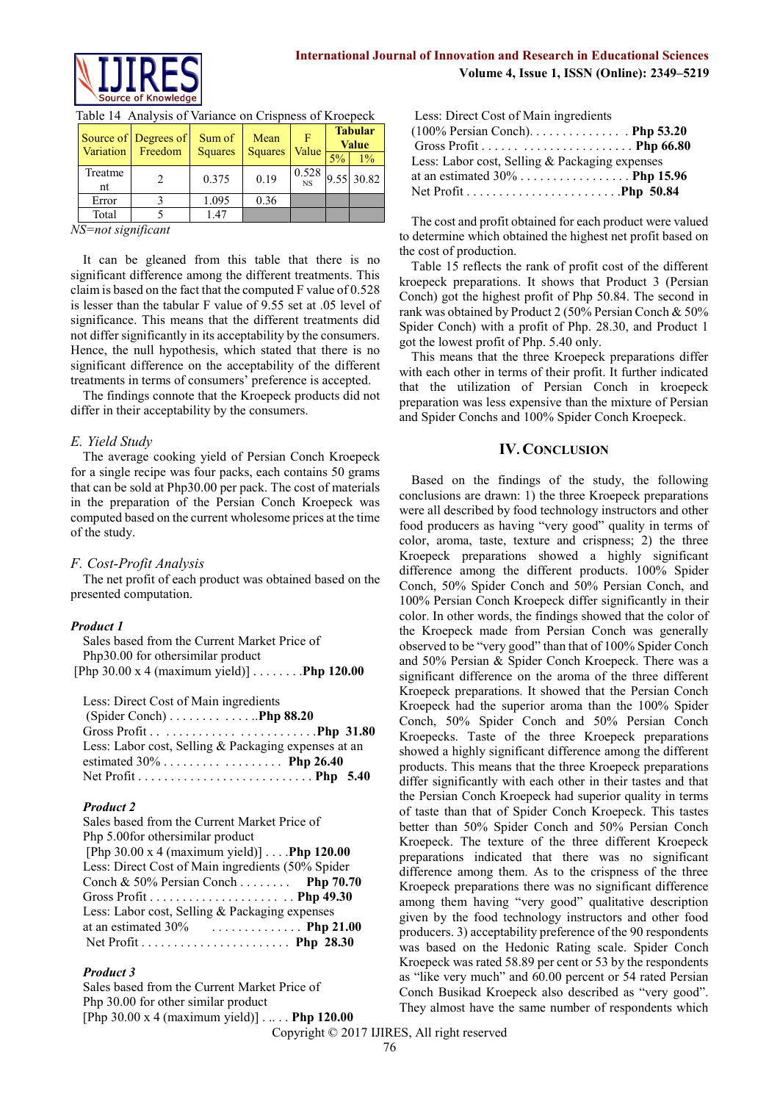

# **International Journal of Innovation and Research in Educational Sciences Volume 4, Issue 1, ISSN (Online): 2349–5219**

| Variation     | Source of Degrees of<br>Freedom | Sum of<br><b>Squares</b> | Mean<br><b>Squares</b> | F<br>Value         |       | <b>Tabular</b><br><b>Value</b> |
|---------------|---------------------------------|--------------------------|------------------------|--------------------|-------|--------------------------------|
|               |                                 |                          |                        |                    | $5\%$ | $1\%$                          |
| Treatme<br>nt |                                 | 0.375                    | 0.19                   | 0.528<br><b>NS</b> |       | 9.55 30.82                     |
|               |                                 |                          |                        |                    |       |                                |
| Error         |                                 | 1.095                    | 0.36                   |                    |       |                                |
| Total         |                                 | 147                      |                        |                    |       |                                |

|  |  | Table 14 Analysis of Variance on Crispness of Kroepeck |
|--|--|--------------------------------------------------------|
|  |  |                                                        |

*NS=not significant*

It can be gleaned from this table that there is no significant difference among the different treatments. This claim is based on the fact that the computed F value of 0.528 is lesser than the tabular F value of 9.55 set at .05 level of significance. This means that the different treatments did not differ significantly in its acceptability by the consumers. Hence, the null hypothesis, which stated that there is no significant difference on the acceptability of the different treatments in terms of consumers' preference is accepted.

The findings connote that the Kroepeck products did not differ in their acceptability by the consumers.

#### *E. Yield Study*

The average cooking yield of Persian Conch Kroepeck for a single recipe was four packs, each contains 50 grams that can be sold at Php30.00 per pack. The cost of materials in the preparation of the Persian Conch Kroepeck was computed based on the current wholesome prices at the time of the study.

# *F. Cost-Profit Analysis*

The net profit of each product was obtained based on the presented computation.

#### *Product 1*

| Sales based from the Current Market Price of               |  |
|------------------------------------------------------------|--|
| Php30.00 for othersimilar product                          |  |
| [Php 30.00 x 4 (maximum yield)] $\ldots \ldots$ Php 120.00 |  |

Less: Direct Cost of Main ingredients

| (Spider Conch) $\dots \dots \dots \dots$ . Php 88.20 |  |
|------------------------------------------------------|--|
|                                                      |  |
| Less: Labor cost, Selling & Packaging expenses at an |  |
|                                                      |  |
|                                                      |  |

# *Product 2*

| Sales based from the Current Market Price of       |  |
|----------------------------------------------------|--|
| Php 5.00 for other similar product                 |  |
| [Php 30.00 x 4 (maximum yield)] $\dots$ Php 120.00 |  |
| Less: Direct Cost of Main ingredients (50% Spider  |  |
| Conch & 50% Persian Conch Php 70.70                |  |
|                                                    |  |
| Less: Labor cost, Selling & Packaging expenses     |  |
| at an estimated $30\%$ Php 21.00                   |  |
|                                                    |  |

#### *Product 3*

Sales based from the Current Market Price of Php 30.00 for other similar product [Php 30.00 x 4 (maximum yield)] . .. . . **Php 120.00**

| Less: Direct Cost of Main ingredients          |  |
|------------------------------------------------|--|
| $(100\%$ Persian Conch) Php 53.20              |  |
|                                                |  |
| Less: Labor cost, Selling & Packaging expenses |  |
|                                                |  |
|                                                |  |

The cost and profit obtained for each product were valued to determine which obtained the highest net profit based on the cost of production.

Table 15 reflects the rank of profit cost of the different kroepeck preparations. It shows that Product 3 (Persian Conch) got the highest profit of Php 50.84. The second in rank was obtained by Product 2 (50% Persian Conch & 50% Spider Conch) with a profit of Php. 28.30, and Product 1 got the lowest profit of Php. 5.40 only.

This means that the three Kroepeck preparations differ with each other in terms of their profit. It further indicated that the utilization of Persian Conch in kroepeck preparation was less expensive than the mixture of Persian and Spider Conchs and 100% Spider Conch Kroepeck.

# **IV. CONCLUSION**

Based on the findings of the study, the following conclusions are drawn: 1) the three Kroepeck preparations were all described by food technology instructors and other food producers as having "very good" quality in terms of color, aroma, taste, texture and crispness; 2) the three Kroepeck preparations showed a highly significant difference among the different products. 100% Spider Conch, 50% Spider Conch and 50% Persian Conch, and 100% Persian Conch Kroepeck differ significantly in their color. In other words, the findings showed that the color of the Kroepeck made from Persian Conch was generally observed to be "very good" than that of 100% Spider Conch and 50% Persian & Spider Conch Kroepeck. There was a significant difference on the aroma of the three different Kroepeck preparations. It showed that the Persian Conch Kroepeck had the superior aroma than the 100% Spider Conch, 50% Spider Conch and 50% Persian Conch Kroepecks. Taste of the three Kroepeck preparations showed a highly significant difference among the different products. This means that the three Kroepeck preparations differ significantly with each other in their tastes and that the Persian Conch Kroepeck had superior quality in terms of taste than that of Spider Conch Kroepeck. This tastes better than 50% Spider Conch and 50% Persian Conch Kroepeck. The texture of the three different Kroepeck preparations indicated that there was no significant difference among them. As to the crispness of the three Kroepeck preparations there was no significant difference among them having "very good" qualitative description given by the food technology instructors and other food producers. 3) acceptability preference of the 90 respondents was based on the Hedonic Rating scale. Spider Conch Kroepeck was rated 58.89 per cent or 53 by the respondents as "like very much" and 60.00 percent or 54 rated Persian Conch Busikad Kroepeck also described as "very good". They almost have the same number of respondents which

Copyright © 2017 IJIRES, All right reserved